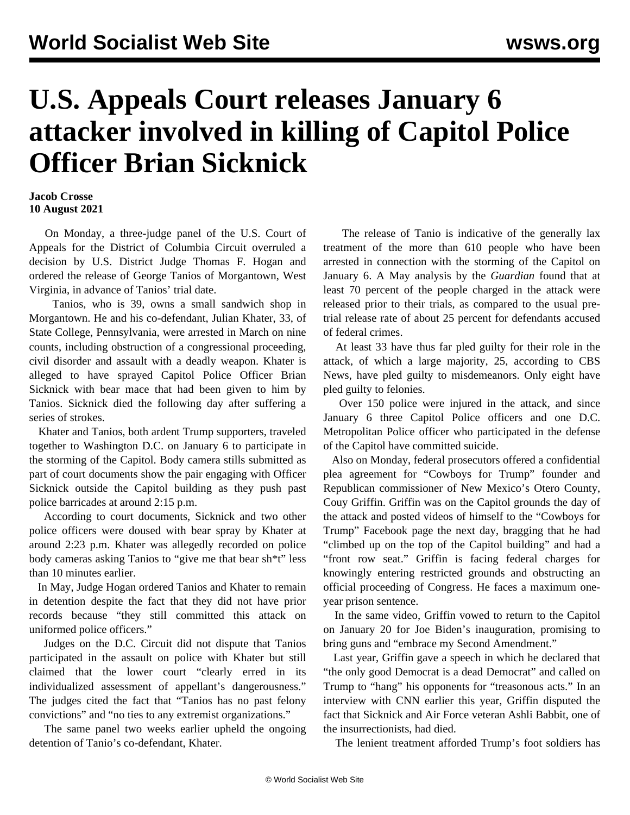## **U.S. Appeals Court releases January 6 attacker involved in killing of Capitol Police Officer Brian Sicknick**

**Jacob Crosse 10 August 2021**

 On Monday, a three-judge panel of the U.S. Court of Appeals for the District of Columbia Circuit overruled a decision by U.S. District Judge Thomas F. Hogan and ordered the release of George Tanios of Morgantown, West Virginia, in advance of Tanios' trial date.

 Tanios, who is 39, owns a small sandwich shop in Morgantown. He and his co-defendant, Julian Khater, 33, of State College, Pennsylvania, were [arrested in March](/en/articles/2021/03/16/sick-m16.html) on nine counts, including obstruction of a congressional proceeding, civil disorder and assault with a deadly weapon. Khater is alleged to have sprayed Capitol Police Officer Brian Sicknick with bear mace that had been given to him by Tanios. Sicknick died the following day after suffering a series of strokes.

 Khater and Tanios, both ardent Trump supporters, traveled together to Washington D.C. on January 6 to participate in the storming of the Capitol. Body camera stills submitted as part of court documents show the pair engaging with Officer Sicknick outside the Capitol building as they push past police barricades at around 2:15 p.m.

 According to court documents, Sicknick and two other police officers were doused with bear spray by Khater at around 2:23 p.m. Khater was allegedly recorded on police body cameras asking Tanios to "give me that bear sh\*t" less than 10 minutes earlier.

 In May, Judge Hogan ordered Tanios and Khater to remain in detention despite the fact that they did not have prior records because "they still committed this attack on uniformed police officers."

 Judges on the D.C. Circuit did not dispute that Tanios participated in the assault on police with Khater but still claimed that the lower court "clearly erred in its individualized assessment of appellant's dangerousness." The judges cited the fact that "Tanios has no past felony convictions" and "no ties to any extremist organizations."

 The same panel two weeks earlier upheld the ongoing detention of Tanio's co-defendant, Khater.

 The release of Tanio is indicative of the generally lax treatment of the more than 610 people who have been arrested in connection with the storming of the Capitol on January 6. A May analysis by the *Guardian* found that at least 70 percent of the people charged in the attack were released prior to their trials, as compared to the usual pretrial release rate of about 25 percent for defendants accused of federal crimes.

 At least 33 have thus far pled guilty for their role in the attack, of which a large majority, 25, according to CBS News, have pled guilty to misdemeanors. Only eight have pled guilty to felonies.

 Over 150 police were injured in the attack, and since January 6 three Capitol Police officers and one D.C. Metropolitan Police officer who participated in the defense of the Capitol have committed suicide.

 Also on Monday, federal prosecutors offered a confidential plea agreement for "Cowboys for Trump" founder and Republican commissioner of New Mexico's Otero County, Couy Griffin. Griffin was on the Capitol grounds the day of the attack and posted videos of himself to the "Cowboys for Trump" Facebook page the next day, bragging that he had "climbed up on the top of the Capitol building" and had a "front row seat." Griffin is facing federal charges for knowingly entering restricted grounds and obstructing an official proceeding of Congress. He faces a maximum oneyear prison sentence.

 In the same video, Griffin vowed to return to the Capitol on January 20 for Joe Biden's inauguration, promising to bring guns and "embrace my Second Amendment."

 Last year, Griffin gave a speech in which he declared that "the only good Democrat is a dead Democrat" and called on Trump to "hang" his opponents for "treasonous acts." In an interview with CNN earlier this year, Griffin disputed the fact that Sicknick and Air Force veteran Ashli Babbit, one of the insurrectionists, had died.

The lenient treatment afforded Trump's foot soldiers has